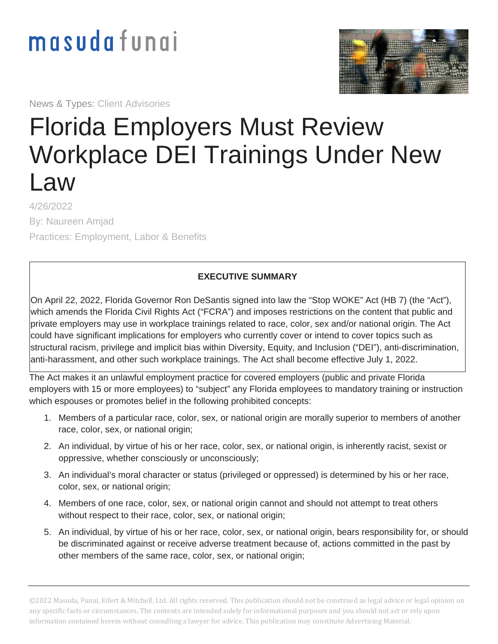## masudafungi

News & Types: Client Advisories



## Florida Employers Must Review Workplace DEI Trainings Under New Law

4/26/2022 By: Naureen Amjad Practices: Employment, Labor & Benefits

## **EXECUTIVE SUMMARY**

On April 22, 2022, Florida Governor Ron DeSantis signed into law the "Stop WOKE" Act (HB 7) (the "Act"), which amends the Florida Civil Rights Act ("FCRA") and imposes restrictions on the content that public and private employers may use in workplace trainings related to race, color, sex and/or national origin. The Act could have significant implications for employers who currently cover or intend to cover topics such as structural racism, privilege and implicit bias within Diversity, Equity, and Inclusion ("DEI"), anti-discrimination, anti-harassment, and other such workplace trainings. The Act shall become effective July 1, 2022.

The Act makes it an unlawful employment practice for covered employers (public and private Florida employers with 15 or more employees) to "subject" any Florida employees to mandatory training or instruction which espouses or promotes belief in the following prohibited concepts:

- 1. Members of a particular race, color, sex, or national origin are morally superior to members of another race, color, sex, or national origin;
- 2. An individual, by virtue of his or her race, color, sex, or national origin, is inherently racist, sexist or oppressive, whether consciously or unconsciously;
- 3. An individual's moral character or status (privileged or oppressed) is determined by his or her race, color, sex, or national origin;
- 4. Members of one race, color, sex, or national origin cannot and should not attempt to treat others without respect to their race, color, sex, or national origin;
- 5. An individual, by virtue of his or her race, color, sex, or national origin, bears responsibility for, or should be discriminated against or receive adverse treatment because of, actions committed in the past by other members of the same race, color, sex, or national origin;

©2022 Masuda, Funai, Eifert & Mitchell, Ltd. All rights reserved. This publication should not be construed as legal advice or legal opinion on any specific facts or circumstances. The contents are intended solely for informational purposes and you should not act or rely upon information contained herein without consulting a lawyer for advice. This publication may constitute Advertising Material.